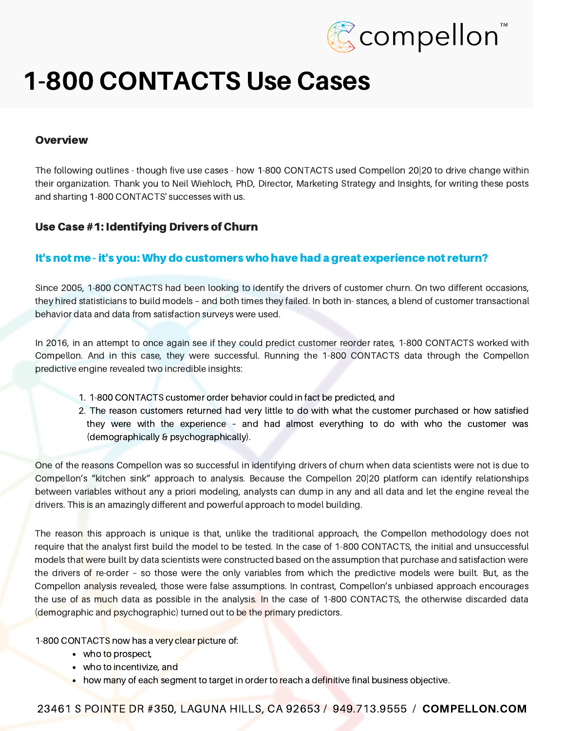

#### **Overview**

The following outlines - though five use cases - how 1-800 CONTACTS used Compellon 20|20 to drive change within their organization. Thank you to Neil Wiehloch, PhD, Director, Marketing Strategy and Insights, for writing these posts and sharting 1-800 CONTACTS' successes with us.

#### Use Case #1: Identifying Drivers of Churn

#### It's not me - it's you: Why do customers who have had a great experience not return?

Since 2005, 1-800 CONTACTS had been looking to identify the drivers of customer churn. On two different occasions, they hired statisticians to build models – and both times they failed. In both in- stances, a blend of customer transactional behavior data and data from satisfaction surveys were used.

In 2016, in an attempt to once again see if they could predict customer reorder rates, 1-800 CONTACTS worked with Compellon. And in this case, they were successful. Running the 1-800 CONTACTS data through the Compellon predictive engine revealed two incredible insights:

- 1. 1-800 CONTACTS customer order behavior could in fact be predicted, and
- 2. The reason customers returned had very little to do with what the customer purchased or how satisfied they were with the experience – and had almost everything to do with who the customer was (demographically & psychographically).

One of the reasons Compellon was so successful in identifying drivers of churn when data scientists were not is due to Compellon's "kitchen sink" approach to analysis. Because the Compellon 20|20 platform can identify relationships between variables without any a priori modeling, analysts can dump in any and all data and let the engine reveal the drivers. This is an amazingly different and powerful approach to model building.

The reason this approach is unique is that, unlike the traditional approach, the Compellon methodology does not require that the analyst first build the model to be tested. In the case of 1-800 CONTACTS, the initial and unsuccessful models that were built by data scientists were constructed based on the assumption that purchase and satisfaction were the drivers of re-order – so those were the only variables from which the predictive models were built. But, as the Compellon analysis revealed, those were false assumptions. In contrast, Compellon's unbiased approach encourages the use of as much data as possible in the analysis. In the case of 1-800 CONTACTS, the otherwise discarded data (demographic and psychographic) turned out to be the primary predictors.

1-800 CONTACTS now has a very clear picture of:

- who to prospect,
- who to incentivize, and
- how many of each segment to target in order to reach a definitive final business objective.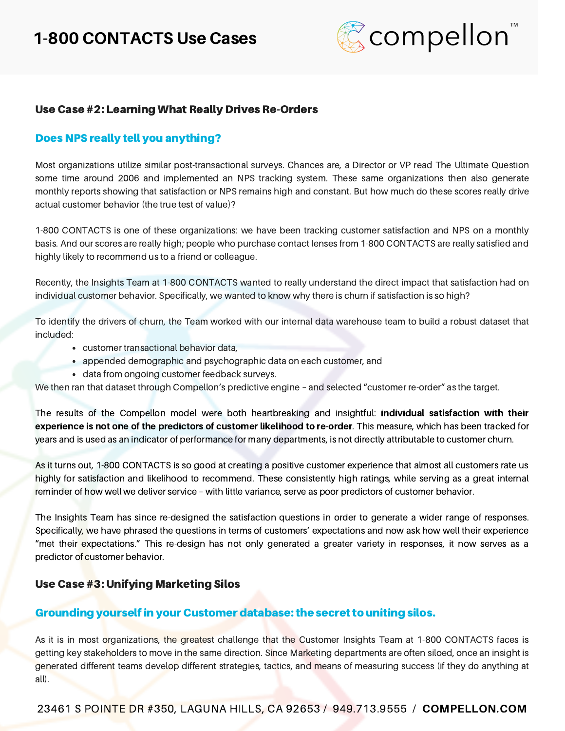

### Use Case #2: Learning What Really Drives Re-Orders

#### Does NPS really tell you anything?

Most organizations utilize similar post-transactional surveys. Chances are, a Director or VP read The Ultimate Question some time around 2006 and implemented an NPS tracking system. These same organizations then also generate monthly reports showing that satisfaction or NPS remains high and constant. But how much do these scores really drive actual customer behavior (the true test of value)?

1-800 CONTACTS is one of these organizations: we have been tracking customer satisfaction and NPS on a monthly basis. And our scores are really high; people who purchase contact lenses from 1-800 CONTACTS are really satisfied and highly likely to recommend us to a friend or colleague.

Recently, the Insights Team at 1-800 CONTACTS wanted to really understand the direct impact that satisfaction had on individual customer behavior. Specifically, we wanted to know why there is churn if satisfaction is so high?

To identify the drivers of churn, the Team worked with our internal data warehouse team to build a robust dataset that included:

- customer transactional behavior data,
- appended demographic and psychographic data on each customer, and
- data from ongoing customer feedback surveys.

We then ran that dataset through Compellon's predictive engine – and selected "customer re-order" as the target.

The results of the Compellon model were both heartbreaking and insightful: individual satisfaction with their experience is not one of the predictors of customer likelihood to re-order. This measure, which has been tracked for years and is used as an indicator of performance for many departments, is not directly attributable to customer churn.

As it turns out, 1-800 CONTACTS is so good at creating a positive customer experience that almost all customers rate us highly for satisfaction and likelihood to recommend. These consistently high ratings, while serving as a great internal reminder of how well we deliver service – with little variance, serve as poor predictors of customer behavior.

The Insights Team has since re-designed the satisfaction questions in order to generate a wider range of responses. Specifically, we have phrased the questions in terms of customers' expectations and now ask how well their experience "met their expectations." This re-design has not only generated a greater variety in responses, it now serves as a predictor of customer behavior.

#### Use Case #3: Unifying Marketing Silos

#### Grounding yourself in your Customer database: the secret to uniting silos.

As it is in most organizations, the greatest challenge that the Customer Insights Team at 1-800 CONTACTS faces is getting key stakeholders to move in the same direction. Since Marketing departments are often siloed, once an insight is generated different teams develop different strategies, tactics, and means of measuring success (if they do anything at all).

23461 S POINTE DR #350, LAGUNA HILLS, CA 92653 / 949.713.9555 / [COMPELLON.COM](http://www.compellon.com/)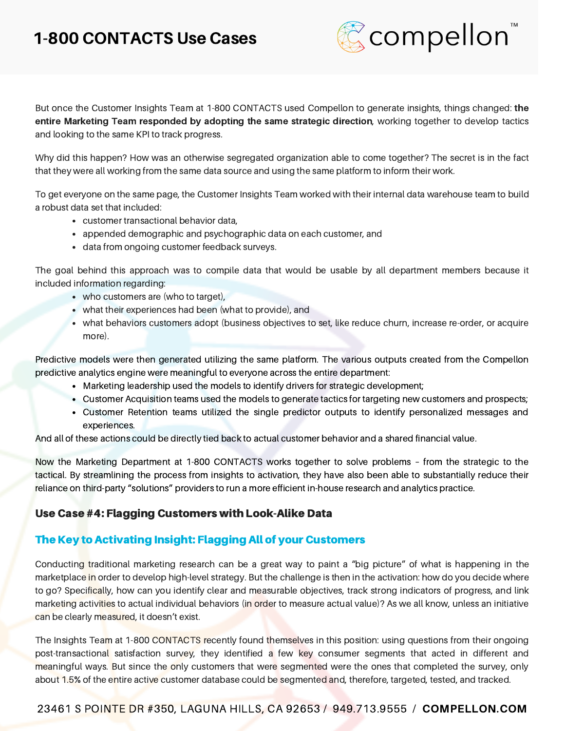

But once the Customer Insights Team at 1-800 CONTACTS used Compellon to generate insights, things changed: the entire Marketing Team responded by adopting the same strategic direction, working together to develop tactics and looking to the same KPI to track progress.

Why did this happen? How was an otherwise segregated organization able to come together? The secret is in the fact that they were all working from the same data source and using the same platform to inform their work.

To get everyone on the same page, the Customer Insights Team worked with their internal data warehouse team to build a robust data set that included:

- customer transactional behavior data,
- appended demographic and psychographic data on each customer, and
- data from ongoing customer feedback surveys.

The goal behind this approach was to compile data that would be usable by all department members because it included information regarding:

- who customers are (who to target),
- what their experiences had been (what to provide), and
- what behaviors customers adopt (business objectives to set, like reduce churn, increase re-order, or acquire more).

Predictive models were then generated utilizing the same platform. The various outputs created from the Compellon predictive analytics engine were meaningful to everyone across the entire department:

- Marketing leadership used the models to identify drivers for strategic development;
- Customer Acquisition teams used the models to generate tactics for targeting new customers and prospects;
- Customer Retention teams utilized the single predictor outputs to identify personalized messages and experiences.

And all of these actions could be directly tied back to actual customer behavior and a shared financial value.

Now the Marketing Department at 1-800 CONTACTS works together to solve problems – from the strategic to the tactical. By streamlining the process from insights to activation, they have also been able to substantially reduce their reliance on third-party "solutions" providers to run a more efficient in-house research and analytics practice.

## Use Case #4: Flagging Customers with Look-Alike Data

# The Key to Activating Insight: Flagging All of your Customers

Conducting traditional marketing research can be a great way to paint a "big picture" of what is happening in the marketplace in order to develop high-level strategy. But the challenge is then in the activation: how do you decide where to go? Specifically, how can you identify clear and measurable objectives, track strong indicators of progress, and link marketing activities to actual individual behaviors (in order to measure actual value)? As we all know, unless an initiative can be clearly measured, it doesn't exist.

The Insights Team at 1-800 CONTACTS recently found themselves in this position: using questions from their ongoing post-transactional satisfaction survey, they identified a few key consumer segments that acted in different and meaningful ways. But since the only customers that were segmented were the ones that completed the survey, only about 1.5% of the entire active customer database could be segmented and, therefore, targeted, tested, and tracked.

## 23461 S POINTE DR #350, LAGUNA HILLS, CA 92653 / 949.713.9555 / [COMPELLON.COM](http://www.compellon.com/)